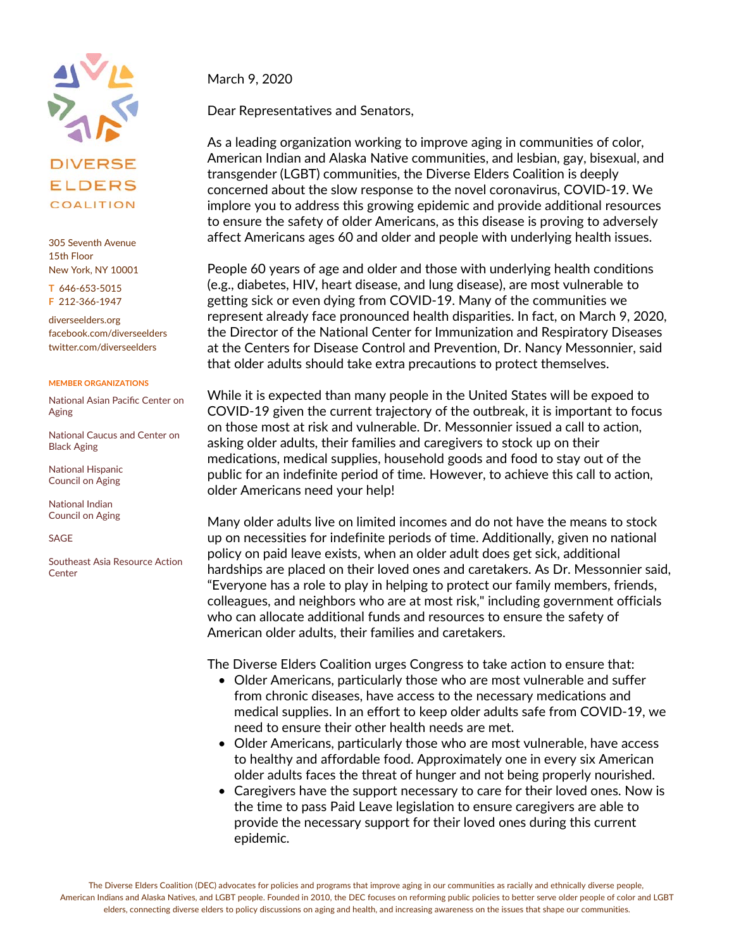

## **ELDERS** COALITION

305 Seventh Avenue 15th Floor New York, NY 10001

**T** 646-653-5015 **F** 212-366-1947

diverseelders.org facebook.com/diverseelders twitter.com/diverseelders

## **MEMBER ORGANIZATIONS**

National Asian Pacific Center on Aging

National Caucus and Center on Black Aging

National Hispanic Council on Aging

National Indian Council on Aging

SAGE

Southeast Asia Resource Action **Center** 

March 9, 2020

Dear Representatives and Senators,

As a leading organization working to improve aging in communities of color, American Indian and Alaska Native communities, and lesbian, gay, bisexual, and transgender (LGBT) communities, the Diverse Elders Coalition is deeply concerned about the slow response to the novel coronavirus, COVID-19. We implore you to address this growing epidemic and provide additional resources to ensure the safety of older Americans, as this disease is proving to adversely affect Americans ages 60 and older and people with underlying health issues.

People 60 years of age and older and those with underlying health conditions (e.g., diabetes, HIV, heart disease, and lung disease), are most vulnerable to getting sick or even dying from COVID-19. Many of the communities we represent already face pronounced health disparities. In fact, on March 9, 2020, the Director of the National Center for Immunization and Respiratory Diseases at the Centers for Disease Control and Prevention, Dr. Nancy Messonnier, said that older adults should take extra precautions to protect themselves.

While it is expected than many people in the United States will be expoed to COVID-19 given the current trajectory of the outbreak, it is important to focus on those most at risk and vulnerable. Dr. Messonnier issued a call to action, asking older adults, their families and caregivers to stock up on their medications, medical supplies, household goods and food to stay out of the public for an indefinite period of time. However, to achieve this call to action, older Americans need your help!

Many older adults live on limited incomes and do not have the means to stock up on necessities for indefinite periods of time. Additionally, given no national policy on paid leave exists, when an older adult does get sick, additional hardships are placed on their loved ones and caretakers. As Dr. Messonnier said, "Everyone has a role to play in helping to protect our family members, friends, colleagues, and neighbors who are at most risk," including government officials who can allocate additional funds and resources to ensure the safety of American older adults, their families and caretakers.

The Diverse Elders Coalition urges Congress to take action to ensure that:

- Older Americans, particularly those who are most vulnerable and suffer from chronic diseases, have access to the necessary medications and medical supplies. In an effort to keep older adults safe from COVID-19, we need to ensure their other health needs are met.
- Older Americans, particularly those who are most vulnerable, have access to healthy and affordable food. Approximately one in every six American older adults faces the threat of hunger and not being properly nourished.
- Caregivers have the support necessary to care for their loved ones. Now is the time to pass Paid Leave legislation to ensure caregivers are able to provide the necessary support for their loved ones during this current epidemic.

The Diverse Elders Coalition (DEC) advocates for policies and programs that improve aging in our communities as racially and ethnically diverse people, American Indians and Alaska Natives, and LGBT people. Founded in 2010, the DEC focuses on reforming public policies to better serve older people of color and LGBT elders, connecting diverse elders to policy discussions on aging and health, and increasing awareness on the issues that shape our communities.